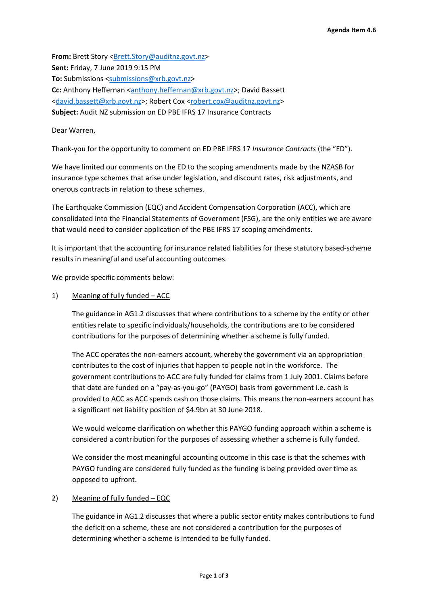**From:** Brett Story [<Brett.Story@auditnz.govt.nz>](mailto:Brett.Story@auditnz.govt.nz) **Sent:** Friday, 7 June 2019 9:15 PM **To:** Submissions [<submissions@xrb.govt.nz>](mailto:submissions@xrb.govt.nz) Cc: Anthony Heffernan [<anthony.heffernan@xrb.govt.nz>](mailto:anthony.heffernan@xrb.govt.nz); David Bassett [<david.bassett@xrb.govt.nz>](mailto:david.bassett@xrb.govt.nz); Robert Cox [<robert.cox@auditnz.govt.nz>](mailto:robert.cox@auditnz.govt.nz) **Subject:** Audit NZ submission on ED PBE IFRS 17 Insurance Contracts

### Dear Warren,

Thank-you for the opportunity to comment on ED PBE IFRS 17 *Insurance Contracts* (the "ED").

We have limited our comments on the ED to the scoping amendments made by the NZASB for insurance type schemes that arise under legislation, and discount rates, risk adjustments, and onerous contracts in relation to these schemes.

The Earthquake Commission (EQC) and Accident Compensation Corporation (ACC), which are consolidated into the Financial Statements of Government (FSG), are the only entities we are aware that would need to consider application of the PBE IFRS 17 scoping amendments.

It is important that the accounting for insurance related liabilities for these statutory based-scheme results in meaningful and useful accounting outcomes.

We provide specific comments below:

1) Meaning of fully funded – ACC

The guidance in AG1.2 discusses that where contributions to a scheme by the entity or other entities relate to specific individuals/households, the contributions are to be considered contributions for the purposes of determining whether a scheme is fully funded.

The ACC operates the non-earners account, whereby the government via an appropriation contributes to the cost of injuries that happen to people not in the workforce. The government contributions to ACC are fully funded for claims from 1 July 2001. Claims before that date are funded on a "pay-as-you-go" (PAYGO) basis from government i.e. cash is provided to ACC as ACC spends cash on those claims. This means the non-earners account has a significant net liability position of \$4.9bn at 30 June 2018.

We would welcome clarification on whether this PAYGO funding approach within a scheme is considered a contribution for the purposes of assessing whether a scheme is fully funded.

We consider the most meaningful accounting outcome in this case is that the schemes with PAYGO funding are considered fully funded as the funding is being provided over time as opposed to upfront.

### 2) Meaning of fully funded - EQC

The guidance in AG1.2 discusses that where a public sector entity makes contributions to fund the deficit on a scheme, these are not considered a contribution for the purposes of determining whether a scheme is intended to be fully funded.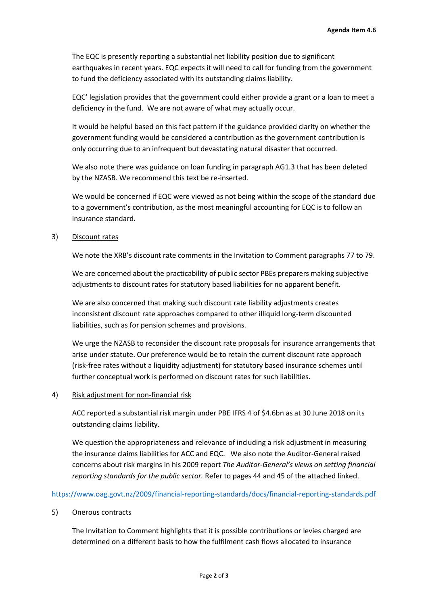The EQC is presently reporting a substantial net liability position due to significant earthquakes in recent years. EQC expects it will need to call for funding from the government to fund the deficiency associated with its outstanding claims liability.

EQC' legislation provides that the government could either provide a grant or a loan to meet a deficiency in the fund. We are not aware of what may actually occur.

It would be helpful based on this fact pattern if the guidance provided clarity on whether the government funding would be considered a contribution as the government contribution is only occurring due to an infrequent but devastating natural disaster that occurred.

We also note there was guidance on loan funding in paragraph AG1.3 that has been deleted by the NZASB. We recommend this text be re-inserted.

We would be concerned if EQC were viewed as not being within the scope of the standard due to a government's contribution, as the most meaningful accounting for EQC is to follow an insurance standard.

### 3) Discount rates

We note the XRB's discount rate comments in the Invitation to Comment paragraphs 77 to 79.

We are concerned about the practicability of public sector PBEs preparers making subjective adjustments to discount rates for statutory based liabilities for no apparent benefit.

We are also concerned that making such discount rate liability adjustments creates inconsistent discount rate approaches compared to other illiquid long-term discounted liabilities, such as for pension schemes and provisions.

We urge the NZASB to reconsider the discount rate proposals for insurance arrangements that arise under statute. Our preference would be to retain the current discount rate approach (risk-free rates without a liquidity adjustment) for statutory based insurance schemes until further conceptual work is performed on discount rates for such liabilities.

### 4) Risk adjustment for non-financial risk

ACC reported a substantial risk margin under PBE IFRS 4 of \$4.6bn as at 30 June 2018 on its outstanding claims liability.

We question the appropriateness and relevance of including a risk adjustment in measuring the insurance claims liabilities for ACC and EQC. We also note the Auditor-General raised concerns about risk margins in his 2009 report *The Auditor-General's views on setting financial reporting standards for the public sector.* Refer to pages 44 and 45 of the attached linked.

# <https://www.oag.govt.nz/2009/financial-reporting-standards/docs/financial-reporting-standards.pdf>

### 5) Onerous contracts

The Invitation to Comment highlights that it is possible contributions or levies charged are determined on a different basis to how the fulfilment cash flows allocated to insurance